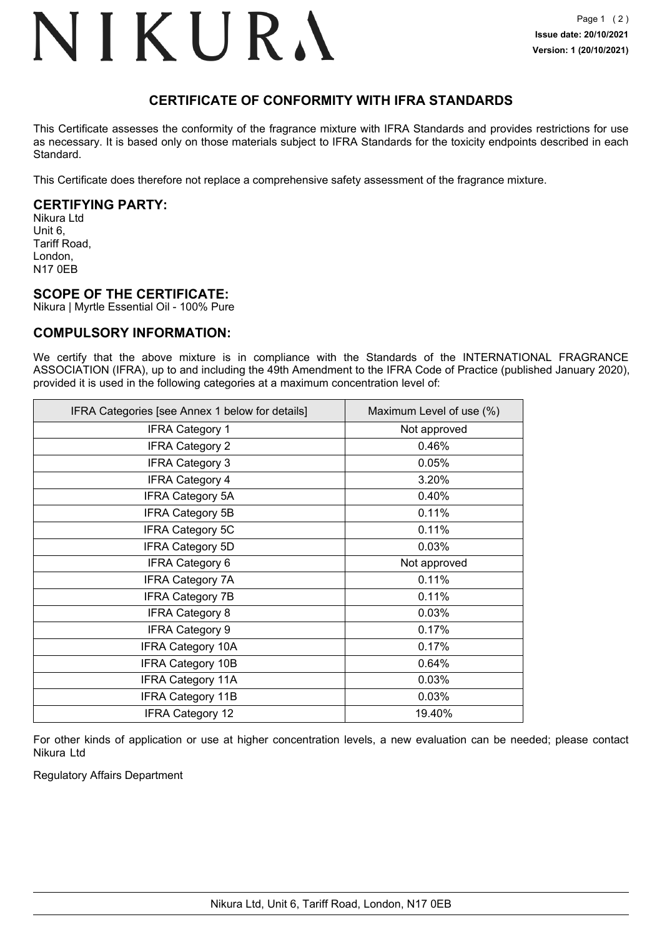## NIKURA

## **CERTIFICATE OF CONFORMITY WITH IFRA STANDARDS**

This Certificate assesses the conformity of the fragrance mixture with IFRA Standards and provides restrictions for use as necessary. It is based only on those materials subject to IFRA Standards for the toxicity endpoints described in each Standard.

This Certificate does therefore not replace a comprehensive safety assessment of the fragrance mixture.

### **CERTIFYING PARTY:**

Nikura Ltd Unit 6, Tariff Road, London, N17 0EB

### **SCOPE OF THE CERTIFICATE:**

Nikura | Myrtle Essential Oil - 100% Pure

### **COMPULSORY INFORMATION:**

We certify that the above mixture is in compliance with the Standards of the INTERNATIONAL FRAGRANCE ASSOCIATION (IFRA), up to and including the 49th Amendment to the IFRA Code of Practice (published January 2020), provided it is used in the following categories at a maximum concentration level of:

| IFRA Categories [see Annex 1 below for details] | Maximum Level of use (%) |
|-------------------------------------------------|--------------------------|
| <b>IFRA Category 1</b>                          | Not approved             |
| <b>IFRA Category 2</b>                          | 0.46%                    |
| <b>IFRA Category 3</b>                          | 0.05%                    |
| <b>IFRA Category 4</b>                          | 3.20%                    |
| <b>IFRA Category 5A</b>                         | 0.40%                    |
| <b>IFRA Category 5B</b>                         | 0.11%                    |
| <b>IFRA Category 5C</b>                         | 0.11%                    |
| <b>IFRA Category 5D</b>                         | 0.03%                    |
| <b>IFRA Category 6</b>                          | Not approved             |
| <b>IFRA Category 7A</b>                         | 0.11%                    |
| <b>IFRA Category 7B</b>                         | 0.11%                    |
| <b>IFRA Category 8</b>                          | 0.03%                    |
| <b>IFRA Category 9</b>                          | 0.17%                    |
| <b>IFRA Category 10A</b>                        | 0.17%                    |
| <b>IFRA Category 10B</b>                        | 0.64%                    |
| <b>IFRA Category 11A</b>                        | 0.03%                    |
| <b>IFRA Category 11B</b>                        | 0.03%                    |
| <b>IFRA Category 12</b>                         | 19.40%                   |

For other kinds of application or use at higher concentration levels, a new evaluation can be needed; please contact Nikura Ltd

Regulatory Affairs Department